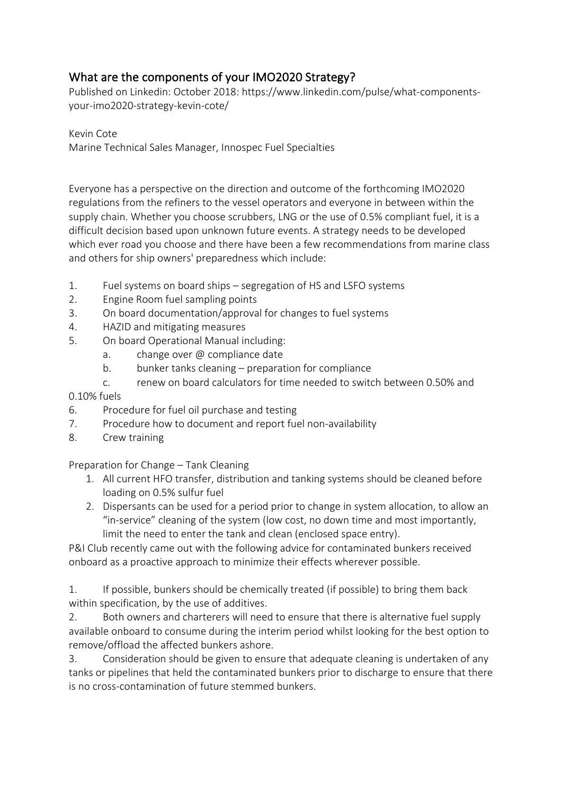## What are the components of your IMO2020 Strategy?

Published on Linkedin: October 2018: https://www.linkedin.com/pulse/what-componentsyour-imo2020-strategy-kevin-cote/

Kevin Cote Marine Technical Sales Manager, Innospec Fuel Specialties

Everyone has a perspective on the direction and outcome of the forthcoming IMO2020 regulations from the refiners to the vessel operators and everyone in between within the supply chain. Whether you choose scrubbers, LNG or the use of 0.5% compliant fuel, it is a difficult decision based upon unknown future events. A strategy needs to be developed which ever road you choose and there have been a few recommendations from marine class and others for ship owners' preparedness which include:

- 1. Fuel systems on board ships segregation of HS and LSFO systems
- 2. Engine Room fuel sampling points
- 3. On board documentation/approval for changes to fuel systems
- 4. HAZID and mitigating measures
- 5. On board Operational Manual including:
	- a. change over @ compliance date
	- b. bunker tanks cleaning preparation for compliance
	- c. renew on board calculators for time needed to switch between 0.50% and

## 0.10% fuels

- 6. Procedure for fuel oil purchase and testing
- 7. Procedure how to document and report fuel non-availability
- 8. Crew training

Preparation for Change – Tank Cleaning

- 1. All current HFO transfer, distribution and tanking systems should be cleaned before loading on 0.5% sulfur fuel
- 2. Dispersants can be used for a period prior to change in system allocation, to allow an "in-service" cleaning of the system (low cost, no down time and most importantly, limit the need to enter the tank and clean (enclosed space entry).

P&I Club recently came out with the following advice for contaminated bunkers received onboard as a proactive approach to minimize their effects wherever possible.

1. If possible, bunkers should be chemically treated (if possible) to bring them back within specification, by the use of additives.

2. Both owners and charterers will need to ensure that there is alternative fuel supply available onboard to consume during the interim period whilst looking for the best option to remove/offload the affected bunkers ashore.

3. Consideration should be given to ensure that adequate cleaning is undertaken of any tanks or pipelines that held the contaminated bunkers prior to discharge to ensure that there is no cross-contamination of future stemmed bunkers.